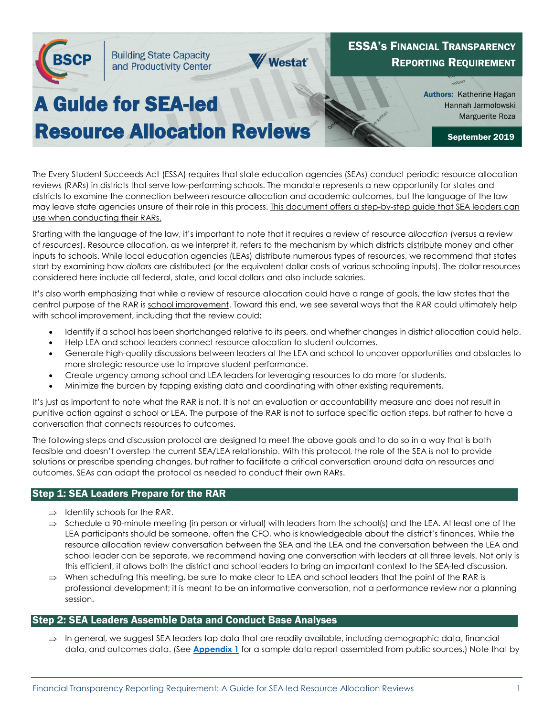

Authors: Katherine Hagan Hannah Jarmolowski Marguerite Roza

September 2019

# Resource Allocation Reviews

The Every Student Succeeds Act (ESSA) requires that state education agencies (SEAs) conduct periodic resource allocation reviews (RARs) in districts that serve low-performing schools. The mandate represents a new opportunity for states and districts to examine the connection between resource allocation and academic outcomes, but the language of the law may leave state agencies unsure of their role in this process. This document offers a step-by-step guide that SEA leaders can use when conducting their RARs.

Starting with the language of the law, it's important to note that it requires a review of resource *allocation* (versus a review of *resources*). Resource allocation, as we interpret it, refers to the mechanism by which districts distribute money and other inputs to schools. While local education agencies (LEAs) distribute numerous types of resources, we recommend that states start by examining how *dollars* are distributed (or the equivalent dollar costs of various schooling inputs). The dollar resources considered here include all federal, state, and local dollars and also include salaries.

It's also worth emphasizing that while a review of resource allocation could have a range of goals, the law states that the central purpose of the RAR is school improvement. Toward this end, we see several ways that the RAR could ultimately help with school improvement, including that the review could:

- Identify if a school has been shortchanged relative to its peers, and whether changes in district allocation could help.
- Help LEA and school leaders connect resource allocation to student outcomes.
- Generate high-quality discussions between leaders at the LEA and school to uncover opportunities and obstacles to more strategic resource use to improve student performance.
- Create urgency among school and LEA leaders for leveraging resources to do more for students.
- Minimize the burden by tapping existing data and coordinating with other existing requirements.

It's just as important to note what the RAR is not. It is not an evaluation or accountability measure and does not result in punitive action against a school or LEA. The purpose of the RAR is not to surface specific action steps, but rather to have a conversation that connects resources to outcomes.

The following steps and discussion protocol are designed to meet the above goals and to do so in a way that is both feasible and doesn't overstep the current SEA/LEA relationship. With this protocol, the role of the SEA is not to provide solutions or prescribe spending changes, but rather to facilitate a critical conversation around data on resources and outcomes. SEAs can adapt the protocol as needed to conduct their own RARs.

## Step 1: SEA Leaders Prepare for the RAR

- $\Rightarrow$  Identify schools for the RAR.
- ⇒ Schedule a 90-minute meeting (in person or virtual) with leaders from the school(s) and the LEA. At least one of the LEA participants should be someone, often the CFO, who is knowledgeable about the district's finances. While the resource allocation review conversation between the SEA and the LEA and the conversation between the LEA and school leader can be separate, we recommend having one conversation with leaders at all three levels. Not only is this efficient, it allows both the district and school leaders to bring an important context to the SEA-led discussion.
- ⇒ When scheduling this meeting, be sure to make clear to LEA and school leaders that the point of the RAR is professional development; it is meant to be an informative conversation, not a performance review nor a planning session.

## Step 2: SEA Leaders Assemble Data and Conduct Base Analyses

⇒ In general, we suggest SEA leaders tap data that are readily available, including demographic data, financial data, and outcomes data. (See **[Appendix 1](https://edunomicslab.org/2019/09/16/appendix-a-sample-data-report/)** for a sample data report assembled from public sources.) Note that by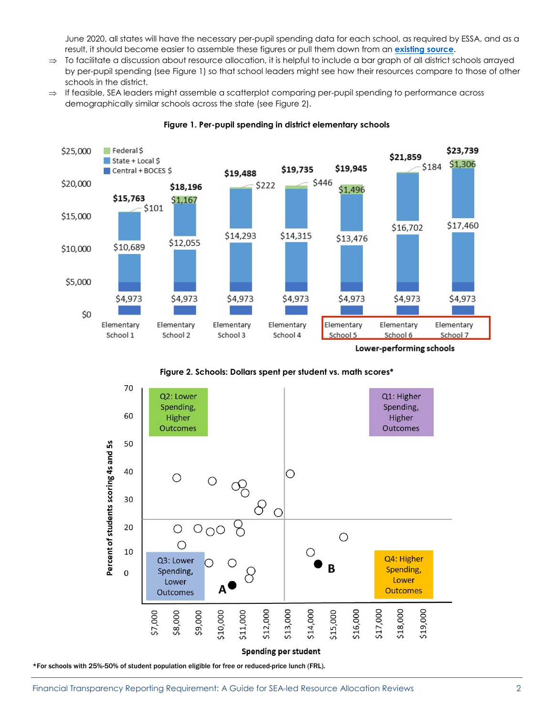June 2020, all states will have the necessary per-pupil spending data for each school, as required by ESSA, and as a result, it should become easier to assemble these figures or pull them down from an **[existing source](https://newyork.edtrust.org/ny-school-funding/)**.

- ⇒ To facilitate a discussion about resource allocation, it is helpful to include a bar graph of all district schools arrayed by per-pupil spending (see Figure 1) so that school leaders might see how their resources compare to those of other schools in the district.
- ⇒ If feasible, SEA leaders might assemble a scatterplot comparing per-pupil spending to performance across demographically similar schools across the state (see Figure 2).





Lower-performing schools

**Figure 2. Schools: Dollars spent per student vs. math scores\*** 



**Spending per student** 

\*For schools with 25%-50% of student population eligible for free or reduced-price lunch (FRL).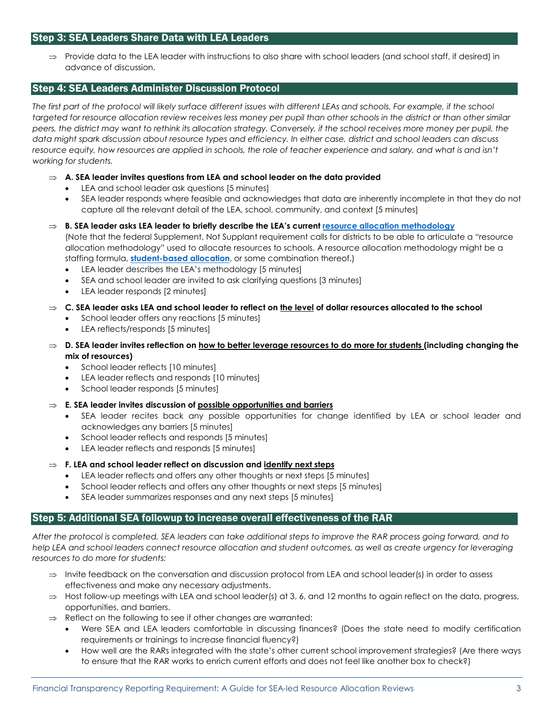## Step 3: SEA Leaders Share Data with LEA Leaders

⇒ Provide data to the LEA leader with instructions to also share with school leaders (and school staff, if desired) in advance of discussion.

## Step 4: SEA Leaders Administer Discussion Protocol

*The first part of the protocol will likely surface different issues with different LEAs and schools. For example, if the school targeted for resource allocation review receives less money per pupil than other schools in the district or than other similar peers, the district may want to rethink its allocation strategy. Conversely, if the school receives more money per pupil, the data might spark discussion about resource types and efficiency. In either case, district and school leaders can discuss*  resource equity, how resources are applied in schools, the role of teacher experience and salary, and what is and isn't *working for students.*

- ⇒ **A. SEA leader invites questions from LEA and school leader on the data provided** 
	- LEA and school leader ask questions [5 minutes]
	- SEA leader responds where feasible and acknowledges that data are inherently incomplete in that they do not capture all the relevant detail of the LEA, school, community, and context [5 minutes]
- ⇒ **B. SEA leader asks LEA leader to briefly describe the LEA's current [resource allocation methodology](https://www2.ed.gov/policy/elsec/leg/essa/snsfinalguidance06192019.pdf)** (Note that the federal Supplement, Not Supplant requirement calls for districts to be able to articulate a "resource allocation methodology" used to allocate resources to schools. A resource allocation methodology might be a staffing formula, **[student-based allocation](https://edunomicslab.org/wp-content/uploads/2018/12/SBA-101-Webinar-11.2018.pdf)**, or some combination thereof.)
	- LEA leader describes the LEA's methodology [5 minutes]
	- SEA and school leader are invited to ask clarifying questions [3 minutes]
	- LEA leader responds [2 minutes]
- ⇒ **C. SEA leader asks LEA and school leader to reflect on the level of dollar resources allocated to the school** 
	- School leader offers any reactions [5 minutes]
	- LEA reflects/responds [5 minutes]
- ⇒ **D. SEA leader invites reflection on how to better leverage resources to do more for students (including changing the mix of resources)** 
	- School leader reflects [10 minutes]
	- LEA leader reflects and responds [10 minutes]
	- School leader responds [5 minutes]
- ⇒ **E. SEA leader invites discussion of possible opportunities and barriers** 
	- SEA leader recites back any possible opportunities for change identified by LEA or school leader and acknowledges any barriers [5 minutes]
	- School leader reflects and responds [5 minutes]
	- LEA leader reflects and responds [5 minutes]
- ⇒ **F. LEA and school leader reflect on discussion and identify next steps** 
	- LEA leader reflects and offers any other thoughts or next steps [5 minutes]
	- School leader reflects and offers any other thoughts or next steps [5 minutes]
	- SEA leader summarizes responses and any next steps [5 minutes]

## Step 5: Additional SEA followup to increase overall effectiveness of the RAR

*After the protocol is completed, SEA leaders can take additional steps to improve the RAR process going forward, and to help LEA and school leaders connect resource allocation and student outcomes, as well as create urgency for leveraging resources to do more for students:*

- ⇒ Invite feedback on the conversation and discussion protocol from LEA and school leader(s) in order to assess effectiveness and make any necessary adjustments.
- $\Rightarrow$  Host follow-up meetings with LEA and school leader(s) at 3, 6, and 12 months to again reflect on the data, progress, opportunities, and barriers.
- ⇒ Reflect on the following to see if other changes are warranted:
	- Were SEA and LEA leaders comfortable in discussing finances? (Does the state need to modify certification requirements or trainings to increase financial fluency?)
	- How well are the RARs integrated with the state's other current school improvement strategies? (Are there ways to ensure that the RAR works to enrich current efforts and does not feel like another box to check?)